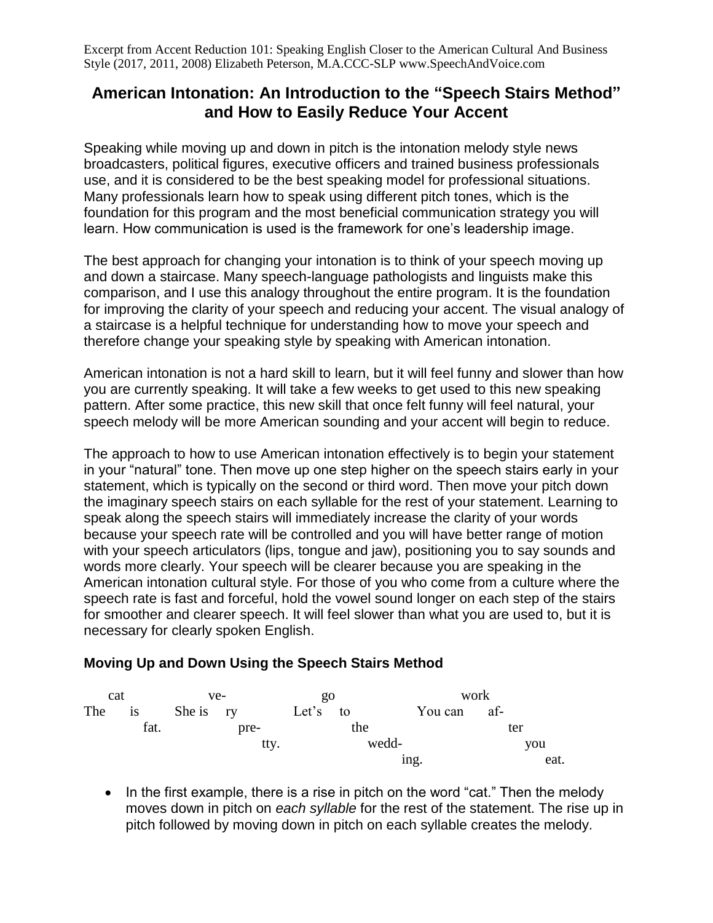Excerpt from Accent Reduction 101: Speaking English Closer to the American Cultural And Business Style (2017, 2011, 2008) Elizabeth Peterson, M.A.CCC-SLP www.SpeechAndVoice.com

## **American Intonation: An Introduction to the "Speech Stairs Method" and How to Easily Reduce Your Accent**

Speaking while moving up and down in pitch is the intonation melody style news broadcasters, political figures, executive officers and trained business professionals use, and it is considered to be the best speaking model for professional situations. Many professionals learn how to speak using different pitch tones, which is the foundation for this program and the most beneficial communication strategy you will learn. How communication is used is the framework for one's leadership image.

The best approach for changing your intonation is to think of your speech moving up and down a staircase. Many speech-language pathologists and linguists make this comparison, and I use this analogy throughout the entire program. It is the foundation for improving the clarity of your speech and reducing your accent. The visual analogy of a staircase is a helpful technique for understanding how to move your speech and therefore change your speaking style by speaking with American intonation.

American intonation is not a hard skill to learn, but it will feel funny and slower than how you are currently speaking. It will take a few weeks to get used to this new speaking pattern. After some practice, this new skill that once felt funny will feel natural, your speech melody will be more American sounding and your accent will begin to reduce.

The approach to how to use American intonation effectively is to begin your statement in your "natural" tone. Then move up one step higher on the speech stairs early in your statement, which is typically on the second or third word. Then move your pitch down the imaginary speech stairs on each syllable for the rest of your statement. Learning to speak along the speech stairs will immediately increase the clarity of your words because your speech rate will be controlled and you will have better range of motion with your speech articulators (lips, tongue and jaw), positioning you to say sounds and words more clearly. Your speech will be clearer because you are speaking in the American intonation cultural style. For those of you who come from a culture where the speech rate is fast and forceful, hold the vowel sound longer on each step of the stairs for smoother and clearer speech. It will feel slower than what you are used to, but it is necessary for clearly spoken English.

## **Moving Up and Down Using the Speech Stairs Method**



• In the first example, there is a rise in pitch on the word "cat." Then the melody moves down in pitch on *each syllable* for the rest of the statement. The rise up in pitch followed by moving down in pitch on each syllable creates the melody.